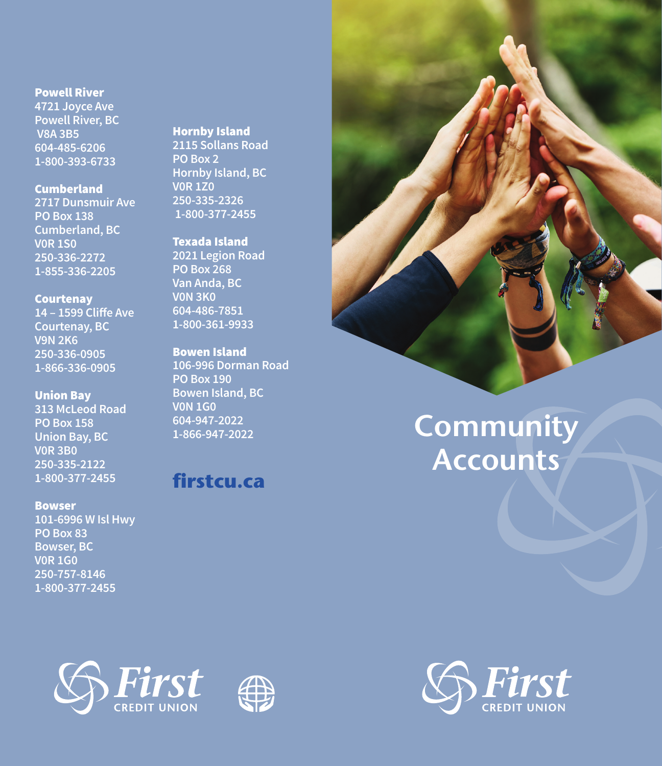#### Powell River

**4721 Joyce Ave Powell River, BC V8A 3B5 604-485-6206 1-800-393-6733**

### **Cumberland**

**2717 Dunsmuir Ave PO Box 138 Cumberland, BC V0R 1S0 250-336-2272 1-855-336-2205**

### Courtenay

**14 – 1599 Cliffe Ave Courtenay, BC V9N 2K6 250-336-0905 1-866-336-0905**

### Union Bay

**313 McLeod Road PO Box 158 Union Bay, BC V0R 3B0 250-335-2122 1-800-377-2455**

### Bowser

**101-6996 W Isl Hwy PO Box 83 Bowser, BC V0R 1G0 250-757-8146 1-800-377-2455**

### Hornby Island

**2115 Sollans Road PO Box 2 Hornby Island, BC V0R 1Z0 250-335-2326 1-800-377-2455**

### Texada Island

**2021 Legion Road PO Box 268 Van Anda, BC V0N 3K0 604-486-7851 1-800-361-9933**

### Bowen Island

**106-996 Dorman Road PO Box 190 Bowen Island, BC V0N 1G0 604-947-2022 1-866-947-2022**

# **firstcu.ca**



# **Community Accounts**